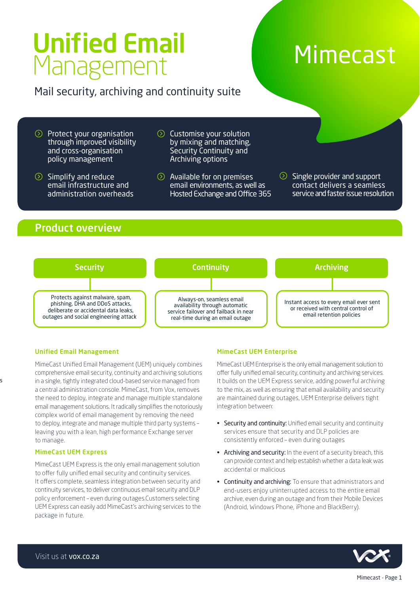# Unified Email Management Mimecast

# Mail security, archiving and continuity suite

- Protect your organisation through improved visibility and cross-organisation policy management
- $\circledcirc$  Simplify and reduce email infrastructure and administration overheads
- **Customise your solution** by mixing and matching, Security Continuity and Archiving options
- Available for on premises email environments, as well as Hosted Exchange and Office 365
- $\circledcirc$ Single provider and support contact delivers a seamless service and faster issue resolution

### Product overview



#### Unified Email Management

s

MimeCast Unified Email Management (UEM) uniquely combines comprehensive email security, continuity and archiving solutions in a single, tightly integrated cloud-based service managed from a central administration console. MimeCast, from Vox, removes the need to deploy, integrate and manage multiple standalone email management solutions. It radically simplifies the notoriously complex world of email management by removing the need to deploy, integrate and manage multiple third party systems – leaving you with a lean, high performance Exchange server to manage.

#### MimeCast UEM Express

MimeCast UEM Express is the only email management solution to offer fully unified email security and continuity services. It offers complete, seamless integration between security and continuity services, to deliver continuous email security and DLP policy enforcement – even during outages.Customers selecting UEM Express can easily add MimeCast's archiving services to the package in future.

#### MimeCast UEM Enterprise

MimeCast UEM Enterprise is the only email management solution to offer fully unified email security, continuity and archiving services. It builds on the UEM Express service, adding powerful archiving to the mix, as well as ensuring that email availability and security are maintained during outages, UEM Enterprise delivers tight integration between:

- Security and continuity: Unified email security and continuity services ensure that security and DLP policies are consistently enforced – even during outages
- Archiving and security: In the event of a security breach, this can provide context and help establish whether a data leak was accidental or malicious
- Continuity and archiving: To ensure that administrators and end-users enjoy uninterrupted access to the entire email archive, even during an outage and from their Mobile Devices (Android, Windows Phone, iPhone and BlackBerry).

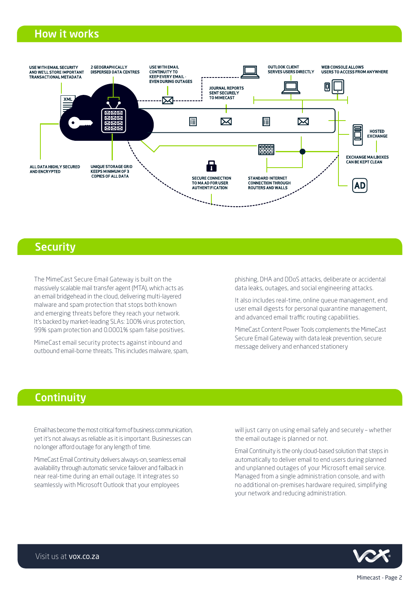## How it works



### **Security**

The MimeCast Secure Email Gateway is built on the massively scalable mail transfer agent (MTA), which acts as an email bridgehead in the cloud, delivering multi-layered malware and spam protection that stops both known and emerging threats before they reach your network. It's backed by market-leading SLAs: 100% virus protection, 99% spam protection and 0.0001% spam false positives.

MimeCast email security protects against inbound and outbound email-borne threats. This includes malware, spam,

phishing, DHA and DDoS attacks, deliberate or accidental data leaks, outages, and social engineering attacks.

It also includes real-time, online queue management, end user email digests for personal quarantine management, and advanced email traffic routing capabilities.

MimeCast Content Power Tools complements the MimeCast Secure Email Gateway with data leak prevention, secure message delivery and enhanced stationery

# **Continuity**

Email has become the most critical form of business communication, yet it's not always as reliable as it is important. Businesses can no longer afford outage for any length of time.

MimeCast Email Continuity delivers always-on, seamless email availability through automatic service failover and failback in near real-time during an email outage. It integrates so seamlessly with Microsoft Outlook that your employees

will just carry on using email safely and securely – whether the email outage is planned or not.

Email Continuity is the only cloud-based solution that steps in automatically to deliver email to end users during planned and unplanned outages of your Microsoft email service. Managed from a single administration console, and with no additional on-premises hardware required, simplifying your network and reducing administration.